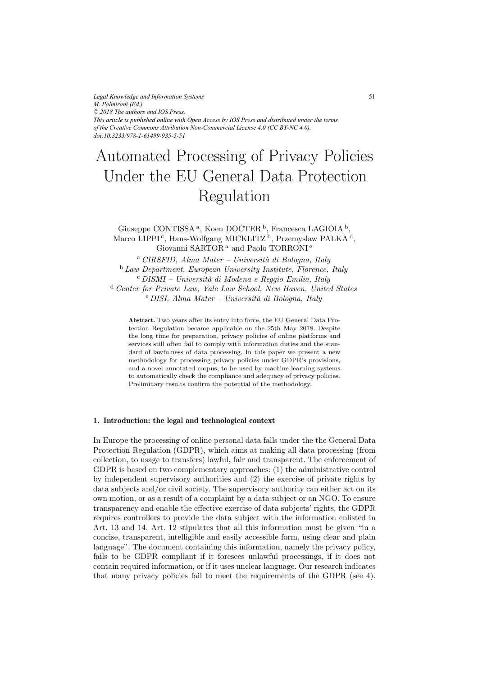*Legal Knowledge and Information Systems M. Palmirani (Ed.) © 2018 The authors and IOS Press. This article is published online with Open Access by IOS Press and distributed under the terms of the Creative Commons Attribution Non-Commercial License 4.0 (CC BY-NC 4.0). doi:10.3233/978-1-61499-935-5-51*

# Automated Processing of Privacy Policies Regulation Under the EU General Data Protection

Giuseppe CONTISSA<sup>a</sup>, Koen DOCTER<sup>b</sup>, Francesca LAGIOIA<sup>b</sup>, Marco LIPPI<sup>c</sup>, Hans-Wolfgang MICKLITZ<sup>b</sup>, Przemyslaw PALKA<sup>d</sup>, Giovanni SARTOR<sup>a</sup> and Paolo TORRONI<sup>e</sup>

<sup>a</sup> *CIRSFID, Alma Mater – Universit`a di Bologna, Italy* <sup>b</sup> *Law Department, European University Institute, Florence, Italy* <sup>c</sup> *DISMI – Universit`a di Modena e Reggio Emilia, Italy* <sup>d</sup> *Center for Private Law, Yale Law School, New Haven, United States* <sup>e</sup> *DISI, Alma Mater – Universit`a di Bologna, Italy*

**Abstract.** Two years after its entry into force, the EU General Data Protection Regulation became applicable on the 25th May 2018. Despite the long time for preparation, privacy policies of online platforms and services still often fail to comply with information duties and the standard of lawfulness of data processing. In this paper we present a new methodology for processing privacy policies under GDPR's provisions, and a novel annotated corpus, to be used by machine learning systems to automatically check the compliance and adequacy of privacy policies. Preliminary results confirm the potential of the methodology.

### **1. Introduction: the legal and technological context**

In Europe the processing of online personal data falls under the the General Data Protection Regulation (GDPR), which aims at making all data processing (from collection, to usage to transfers) lawful, fair and transparent. The enforcement of GDPR is based on two complementary approaches: (1) the administrative control by independent supervisory authorities and (2) the exercise of private rights by data subjects and/or civil society. The supervisory authority can either act on its own motion, or as a result of a complaint by a data subject or an NGO. To ensure transparency and enable the effective exercise of data subjects' rights, the GDPR requires controllers to provide the data subject with the information enlisted in Art. 13 and 14. Art. 12 stipulates that all this information must be given "in a concise, transparent, intelligible and easily accessible form, using clear and plain language". The document containing this information, namely the privacy policy, fails to be GDPR compliant if it foresees unlawful processings, if it does not contain required information, or if it uses unclear language. Our research indicates that many privacy policies fail to meet the requirements of the GDPR (see 4).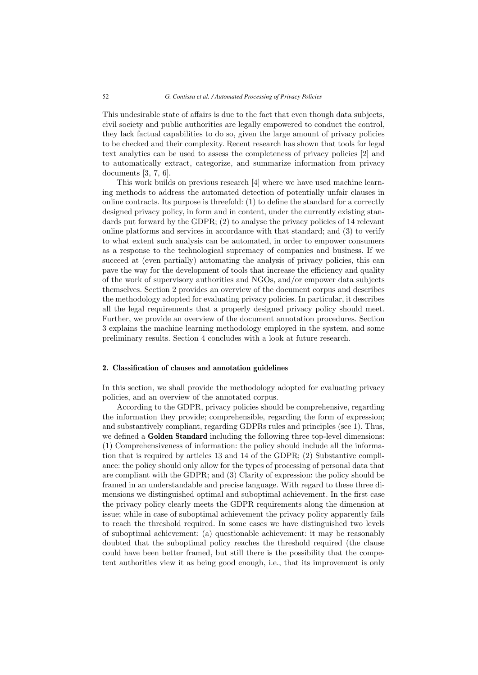This undesirable state of affairs is due to the fact that even though data subjects, civil society and public authorities are legally empowered to conduct the control, they lack factual capabilities to do so, given the large amount of privacy policies to be checked and their complexity. Recent research has shown that tools for legal text analytics can be used to assess the completeness of privacy policies [2] and to automatically extract, categorize, and summarize information from privacy documents [3, 7, 6].

This work builds on previous research [4] where we have used machine learning methods to address the automated detection of potentially unfair clauses in online contracts. Its purpose is threefold: (1) to define the standard for a correctly designed privacy policy, in form and in content, under the currently existing standards put forward by the GDPR; (2) to analyse the privacy policies of 14 relevant online platforms and services in accordance with that standard; and (3) to verify to what extent such analysis can be automated, in order to empower consumers as a response to the technological supremacy of companies and business. If we succeed at (even partially) automating the analysis of privacy policies, this can pave the way for the development of tools that increase the efficiency and quality of the work of supervisory authorities and NGOs, and/or empower data subjects themselves. Section 2 provides an overview of the document corpus and describes the methodology adopted for evaluating privacy policies. In particular, it describes all the legal requirements that a properly designed privacy policy should meet. Further, we provide an overview of the document annotation procedures. Section 3 explains the machine learning methodology employed in the system, and some preliminary results. Section 4 concludes with a look at future research.

#### **2. Classification of clauses and annotation guidelines**

In this section, we shall provide the methodology adopted for evaluating privacy policies, and an overview of the annotated corpus.

According to the GDPR, privacy policies should be comprehensive, regarding the information they provide; comprehensible, regarding the form of expression; and substantively compliant, regarding GDPRs rules and principles (see 1). Thus, we defined a **Golden Standard** including the following three top-level dimensions: (1) Comprehensiveness of information: the policy should include all the information that is required by articles 13 and 14 of the GDPR; (2) Substantive compliance: the policy should only allow for the types of processing of personal data that are compliant with the GDPR; and (3) Clarity of expression: the policy should be framed in an understandable and precise language. With regard to these three dimensions we distinguished optimal and suboptimal achievement. In the first case the privacy policy clearly meets the GDPR requirements along the dimension at issue; while in case of suboptimal achievement the privacy policy apparently fails to reach the threshold required. In some cases we have distinguished two levels of suboptimal achievement: (a) questionable achievement: it may be reasonably doubted that the suboptimal policy reaches the threshold required (the clause could have been better framed, but still there is the possibility that the competent authorities view it as being good enough, i.e., that its improvement is only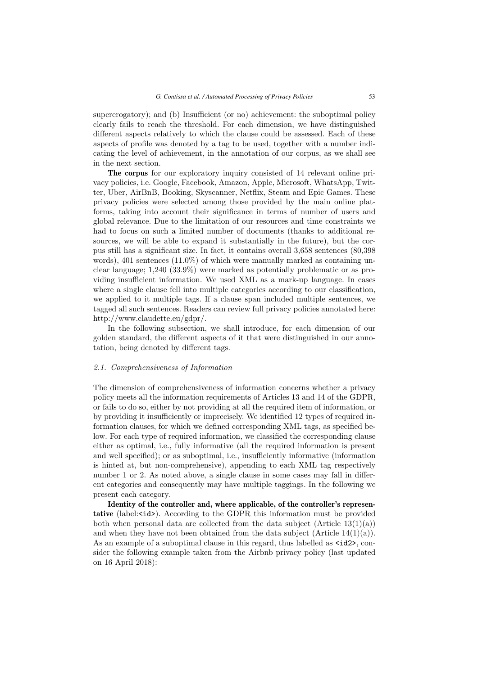supererogatory); and (b) Insufficient (or no) achievement: the suboptimal policy clearly fails to reach the threshold. For each dimension, we have distinguished different aspects relatively to which the clause could be assessed. Each of these aspects of profile was denoted by a tag to be used, together with a number indicating the level of achievement, in the annotation of our corpus, as we shall see in the next section.

**The corpus** for our exploratory inquiry consisted of 14 relevant online privacy policies, i.e. Google, Facebook, Amazon, Apple, Microsoft, WhatsApp, Twitter, Uber, AirBnB, Booking, Skyscanner, Netflix, Steam and Epic Games. These privacy policies were selected among those provided by the main online platforms, taking into account their significance in terms of number of users and global relevance. Due to the limitation of our resources and time constraints we had to focus on such a limited number of documents (thanks to additional resources, we will be able to expand it substantially in the future), but the corpus still has a significant size. In fact, it contains overall 3,658 sentences (80,398 words), 401 sentences (11.0%) of which were manually marked as containing unclear language; 1,240 (33.9%) were marked as potentially problematic or as providing insufficient information. We used XML as a mark-up language. In cases where a single clause fell into multiple categories according to our classification, we applied to it multiple tags. If a clause span included multiple sentences, we tagged all such sentences. Readers can review full privacy policies annotated here: http://www.claudette.eu/gdpr/.

In the following subsection, we shall introduce, for each dimension of our golden standard, the different aspects of it that were distinguished in our annotation, being denoted by different tags.

#### *2.1. Comprehensiveness of Information*

The dimension of comprehensiveness of information concerns whether a privacy policy meets all the information requirements of Articles 13 and 14 of the GDPR, or fails to do so, either by not providing at all the required item of information, or by providing it insufficiently or imprecisely. We identified 12 types of required information clauses, for which we defined corresponding XML tags, as specified below. For each type of required information, we classified the corresponding clause either as optimal, i.e., fully informative (all the required information is present and well specified); or as suboptimal, i.e., insufficiently informative (information is hinted at, but non-comprehensive), appending to each XML tag respectively number 1 or 2. As noted above, a single clause in some cases may fall in different categories and consequently may have multiple taggings. In the following we present each category.

**Identity of the controller and, where applicable, of the controller's representative** (label:<id>). According to the GDPR this information must be provided both when personal data are collected from the data subject  $(A<sub>r</sub> - 13(1)(a))$ and when they have not been obtained from the data subject  $(Article 14(1)(a))$ . As an example of a suboptimal clause in this regard, thus labelled as  $\leq$  id 2>, consider the following example taken from the Airbnb privacy policy (last updated on 16 April 2018):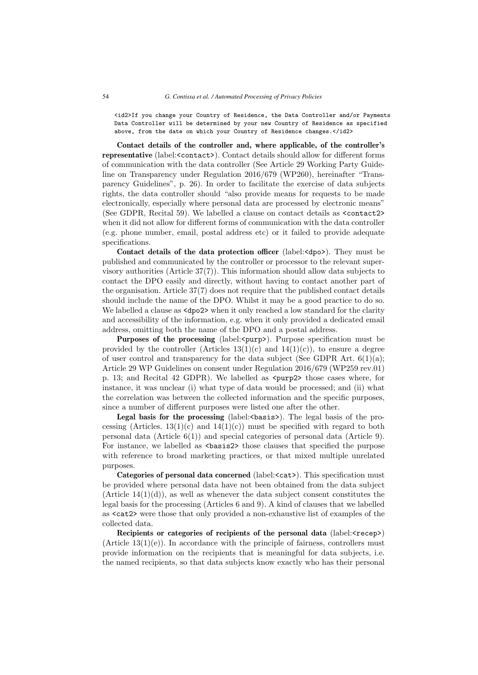<id2>If you change your Country of Residence, the Data Controller and/or Payments Data Controller will be determined by your new Country of Residence as specified above, from the date on which your Country of Residence changes.</id2>

**Contact details of the controller and, where applicable, of the controller's representative** (label:<contact>). Contact details should allow for different forms of communication with the data controller (See Article 29 Working Party Guideline on Transparency under Regulation 2016/679 (WP260), hereinafter "Transparency Guidelines", p. 26). In order to facilitate the exercise of data subjects rights, the data controller should "also provide means for requests to be made electronically, especially where personal data are processed by electronic means" (See GDPR, Recital 59). We labelled a clause on contact details as <contact2> when it did not allow for different forms of communication with the data controller (e.g. phone number, email, postal address etc) or it failed to provide adequate specifications.

**Contact details of the data protection officer** (label:<dpo>). They must be published and communicated by the controller or processor to the relevant supervisory authorities (Article 37(7)). This information should allow data subjects to contact the DPO easily and directly, without having to contact another part of the organisation. Article 37(7) does not require that the published contact details should include the name of the DPO. Whilst it may be a good practice to do so. We labelled a clause as  $\langle \text{dpo2} \rangle$  when it only reached a low standard for the clarity and accessibility of the information, e.g. when it only provided a dedicated email address, omitting both the name of the DPO and a postal address.

**Purposes of the processing** (label:<purp>). Purpose specification must be provided by the controller (Articles  $13(1)(c)$ ) and  $14(1)(c)$ ), to ensure a degree of user control and transparency for the data subject (See GDPR Art.  $6(1)(a)$ ; Article 29 WP Guidelines on consent under Regulation 2016/679 (WP259 rev.01) p. 13; and Recital 42 GDPR). We labelled as <purp2> those cases where, for instance, it was unclear (i) what type of data would be processed; and (ii) what the correlation was between the collected information and the specific purposes, since a number of different purposes were listed one after the other.

**Legal basis for the processing** (label:  $\langle$  basis>). The legal basis of the processing (Articles.  $13(1)(c)$  and  $14(1)(c)$ ) must be specified with regard to both personal data (Article  $6(1)$ ) and special categories of personal data (Article 9). For instance, we labelled as  $\langle$ basis2> those clauses that specified the purpose with reference to broad marketing practices, or that mixed multiple unrelated purposes.

**Categories of personal data concerned** (label:<cat>). This specification must be provided where personal data have not been obtained from the data subject (Article  $14(1)(d)$ ), as well as whenever the data subject consent constitutes the legal basis for the processing (Articles 6 and 9). A kind of clauses that we labelled as <cat2> were those that only provided a non-exhaustive list of examples of the collected data.

**Recipients or categories of recipients of the personal data** (label:  $\langle \text{recep} \rangle$ )  $(A$ rticle  $13(1)(e)$ ). In accordance with the principle of fairness, controllers must provide information on the recipients that is meaningful for data subjects, i.e. the named recipients, so that data subjects know exactly who has their personal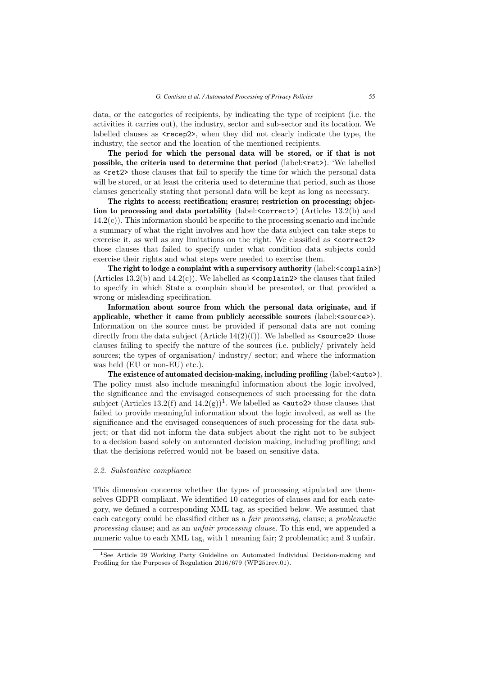data, or the categories of recipients, by indicating the type of recipient (i.e. the activities it carries out), the industry, sector and sub-sector and its location. We labelled clauses as  $\langle \text{recep2-}, \text{when they did not clearly indicate the type, the} \rangle$ industry, the sector and the location of the mentioned recipients.

**The period for which the personal data will be stored, or if that is not possible, the criteria used to determine that period** (label: <ret>). 'We labelled as <ret2> those clauses that fail to specify the time for which the personal data will be stored, or at least the criteria used to determine that period, such as those clauses generically stating that personal data will be kept as long as necessary.

**The rights to access; rectification; erasure; restriction on processing; objection to processing and data portability** (label:<correct>) (Articles 13.2(b) and  $14.2(c)$ ). This information should be specific to the processing scenario and include a summary of what the right involves and how the data subject can take steps to exercise it, as well as any limitations on the right. We classified as <correct2> those clauses that failed to specify under what condition data subjects could exercise their rights and what steps were needed to exercise them.

**The right to lodge a complaint with a supervisory authority** (label:<complain>) (Articles 13.2(b) and  $14.2(c)$ ). We labelled as  $\leq$ complain2> the clauses that failed to specify in which State a complain should be presented, or that provided a wrong or misleading specification.

**Information about source from which the personal data originate, and if applicable, whether it came from publicly accessible sources** (label:<source>). Information on the source must be provided if personal data are not coming directly from the data subject (Article  $14(2)(f)$ ). We labelled as  $\leq$ source2> those clauses failing to specify the nature of the sources (i.e. publicly/ privately held sources; the types of organisation/ industry/ sector; and where the information was held (EU or non-EU) etc.).

**The existence of automated decision-making, including profiling** (label:<auto>). The policy must also include meaningful information about the logic involved, the significance and the envisaged consequences of such processing for the data subject (Articles 13.2(f) and  $14.2(g)$ <sup>1</sup>. We labelled as **<auto2>** those clauses that failed to provide meaningful information about the logic involved, as well as the significance and the envisaged consequences of such processing for the data subject; or that did not inform the data subject about the right not to be subject to a decision based solely on automated decision making, including profiling; and that the decisions referred would not be based on sensitive data.

#### *2.2. Substantive compliance*

This dimension concerns whether the types of processing stipulated are themselves GDPR compliant. We identified 10 categories of clauses and for each category, we defined a corresponding XML tag, as specified below. We assumed that each category could be classified either as a *fair processing*, clause; a *problematic processing* clause; and as an *unfair processing clause*. To this end, we appended a numeric value to each XML tag, with 1 meaning fair; 2 problematic; and 3 unfair.

<sup>1</sup>See Article 29 Working Party Guideline on Automated Individual Decision-making and Profiling for the Purposes of Regulation 2016/679 (WP251rev.01).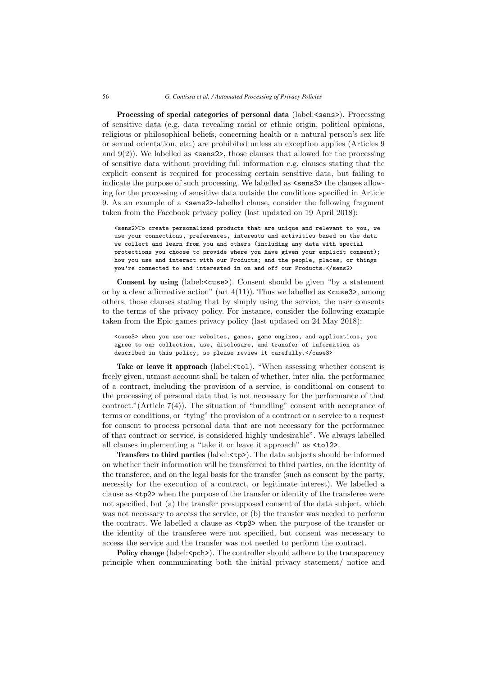**Processing of special categories of personal data** (label: <sens>). Processing of sensitive data (e.g. data revealing racial or ethnic origin, political opinions, religious or philosophical beliefs, concerning health or a natural person's sex life or sexual orientation, etc.) are prohibited unless an exception applies (Articles 9 and  $9(2)$ ). We labelled as  $\langle$  sens2 $\rangle$ , those clauses that allowed for the processing of sensitive data without providing full information e.g. clauses stating that the explicit consent is required for processing certain sensitive data, but failing to indicate the purpose of such processing. We labelled as  $\langle$  sens3> the clauses allowing for the processing of sensitive data outside the conditions specified in Article 9. As an example of a  $\epsilon$  sens2>-labelled clause, consider the following fragment taken from the Facebook privacy policy (last updated on 19 April 2018):

<sens2>To create personalized products that are unique and relevant to you, we use your connections, preferences, interests and activities based on the data we collect and learn from you and others (including any data with special protections you choose to provide where you have given your explicit consent); how you use and interact with our Products; and the people, places, or things you're connected to and interested in on and off our Products.</sens2>

**Consent by using** (label: <cuse>). Consent should be given "by a statement or by a clear affirmative action" (art  $4(11)$ ). Thus we labelled as  $\langle \text{cuses3}\rangle$ , among others, those clauses stating that by simply using the service, the user consents to the terms of the privacy policy. For instance, consider the following example taken from the Epic games privacy policy (last updated on 24 May 2018):

<cuse3> when you use our websites, games, game engines, and applications, you agree to our collection, use, disclosure, and transfer of information as described in this policy, so please review it carefully.</cuse3>

**Take or leave it approach** (label:  $\lt$ to1). "When assessing whether consent is freely given, utmost account shall be taken of whether, inter alia, the performance of a contract, including the provision of a service, is conditional on consent to the processing of personal data that is not necessary for the performance of that contract." (Article  $7(4)$ ). The situation of "bundling" consent with acceptance of terms or conditions, or "tying" the provision of a contract or a service to a request for consent to process personal data that are not necessary for the performance of that contract or service, is considered highly undesirable". We always labelled all clauses implementing a "take it or leave it approach" as <tol2>.

**Transfers to third parties** (label:<tp>). The data subjects should be informed on whether their information will be transferred to third parties, on the identity of the transferee, and on the legal basis for the transfer (such as consent by the party, necessity for the execution of a contract, or legitimate interest). We labelled a clause as <tp2> when the purpose of the transfer or identity of the transferee were not specified, but (a) the transfer presupposed consent of the data subject, which was not necessary to access the service, or (b) the transfer was needed to perform the contract. We labelled a clause as <tp3> when the purpose of the transfer or the identity of the transferee were not specified, but consent was necessary to access the service and the transfer was not needed to perform the contract.

**Policy change** (label:  $\langle \text{pch}\rangle$ ). The controller should adhere to the transparency principle when communicating both the initial privacy statement/ notice and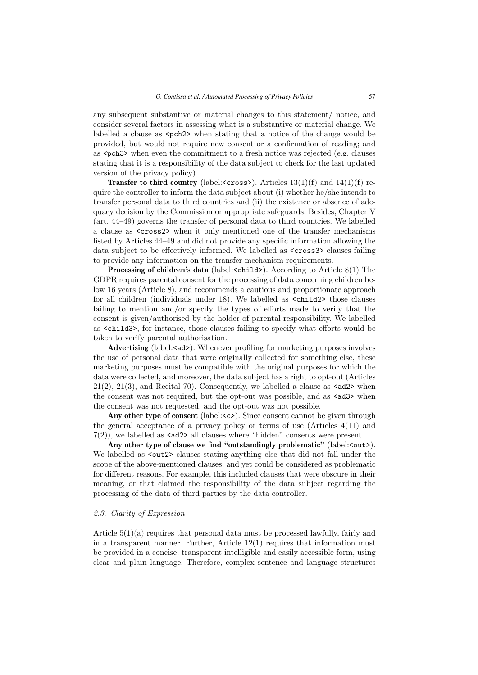any subsequent substantive or material changes to this statement/ notice, and consider several factors in assessing what is a substantive or material change. We labelled a clause as  $\epsilon$   $\geq$   $\geq$  when stating that a notice of the change would be provided, but would not require new consent or a confirmation of reading; and as <pch3> when even the commitment to a fresh notice was rejected (e.g. clauses stating that it is a responsibility of the data subject to check for the last updated version of the privacy policy).

**Transfer to third country** (label:  $\langle \text{cross} \rangle$ ). Articles 13(1)(f) and 14(1)(f) require the controller to inform the data subject about (i) whether he/she intends to transfer personal data to third countries and (ii) the existence or absence of adequacy decision by the Commission or appropriate safeguards. Besides, Chapter V (art. 44–49) governs the transfer of personal data to third countries. We labelled a clause as <cross2> when it only mentioned one of the transfer mechanisms listed by Articles 44–49 and did not provide any specific information allowing the data subject to be effectively informed. We labelled as <cross3> clauses failing to provide any information on the transfer mechanism requirements.

**Processing of children's data** (label:<child>). According to Article 8(1) The GDPR requires parental consent for the processing of data concerning children below 16 years (Article 8), and recommends a cautious and proportionate approach for all children (individuals under 18). We labelled as <child2> those clauses failing to mention and/or specify the types of efforts made to verify that the consent is given/authorised by the holder of parental responsibility. We labelled as <child3>, for instance, those clauses failing to specify what efforts would be taken to verify parental authorisation.

Advertising (label:<ad>). Whenever profiling for marketing purposes involves the use of personal data that were originally collected for something else, these marketing purposes must be compatible with the original purposes for which the data were collected, and moreover, the data subject has a right to opt-out (Articles  $21(2), 21(3),$  and Recital 70). Consequently, we labelled a clause as  $\langle \text{ad2} \rangle$  when the consent was not required, but the opt-out was possible, and as  $\langle \text{ad}3 \rangle$  when the consent was not requested, and the opt-out was not possible.

Any other type of consent (label:<c>). Since consent cannot be given through the general acceptance of a privacy policy or terms of use (Articles 4(11) and  $7(2)$ , we labelled as  $\langle \text{ad2} \rangle$  all clauses where "hidden" consents were present.

Any other type of clause we find "outstandingly problematic" (label:<out>). We labelled as  $\text{out2}$  clauses stating anything else that did not fall under the scope of the above-mentioned clauses, and yet could be considered as problematic for different reasons. For example, this included clauses that were obscure in their meaning, or that claimed the responsibility of the data subject regarding the processing of the data of third parties by the data controller.

## *2.3. Clarity of Expression*

Article  $5(1)(a)$  requires that personal data must be processed lawfully, fairly and in a transparent manner. Further, Article  $12(1)$  requires that information must be provided in a concise, transparent intelligible and easily accessible form, using clear and plain language. Therefore, complex sentence and language structures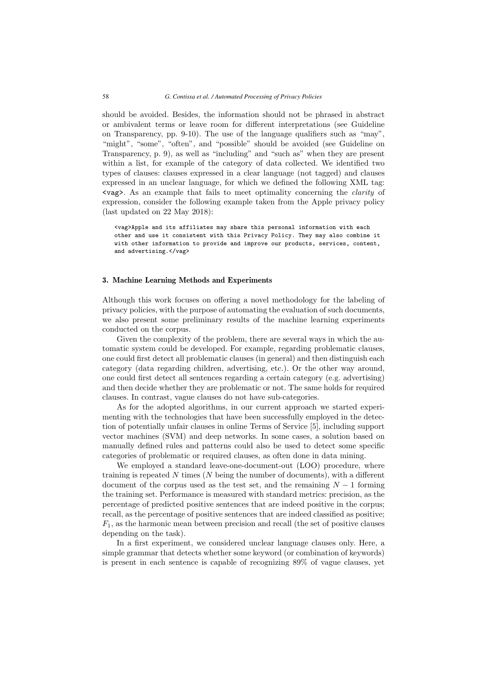should be avoided. Besides, the information should not be phrased in abstract or ambivalent terms or leave room for different interpretations (see Guideline on Transparency, pp. 9-10). The use of the language qualifiers such as "may", "might", "some", "often", and "possible" should be avoided (see Guideline on Transparency, p. 9), as well as "including" and "such as" when they are present within a list, for example of the category of data collected. We identified two types of clauses: clauses expressed in a clear language (not tagged) and clauses expressed in an unclear language, for which we defined the following XML tag: <vag>. As an example that fails to meet optimality concerning the *clarity* of expression, consider the following example taken from the Apple privacy policy (last updated on 22 May 2018):

<vag>Apple and its affiliates may share this personal information with each other and use it consistent with this Privacy Policy. They may also combine it with other information to provide and improve our products, services, content, and advertising.</vag>

#### **3. Machine Learning Methods and Experiments**

Although this work focuses on offering a novel methodology for the labeling of privacy policies, with the purpose of automating the evaluation of such documents, we also present some preliminary results of the machine learning experiments conducted on the corpus.

Given the complexity of the problem, there are several ways in which the automatic system could be developed. For example, regarding problematic clauses, one could first detect all problematic clauses (in general) and then distinguish each category (data regarding children, advertising, etc.). Or the other way around, one could first detect all sentences regarding a certain category (e.g. advertising) and then decide whether they are problematic or not. The same holds for required clauses. In contrast, vague clauses do not have sub-categories.

As for the adopted algorithms, in our current approach we started experimenting with the technologies that have been successfully employed in the detection of potentially unfair clauses in online Terms of Service [5], including support vector machines (SVM) and deep networks. In some cases, a solution based on manually defined rules and patterns could also be used to detect some specific categories of problematic or required clauses, as often done in data mining.

We employed a standard leave-one-document-out (LOO) procedure, where training is repeated  $N$  times  $(N$  being the number of documents), with a different document of the corpus used as the test set, and the remaining  $N-1$  forming the training set. Performance is measured with standard metrics: precision, as the percentage of predicted positive sentences that are indeed positive in the corpus; recall, as the percentage of positive sentences that are indeed classified as positive;  $F_1$ , as the harmonic mean between precision and recall (the set of positive clauses depending on the task).

In a first experiment, we considered unclear language clauses only. Here, a simple grammar that detects whether some keyword (or combination of keywords) is present in each sentence is capable of recognizing 89% of vague clauses, yet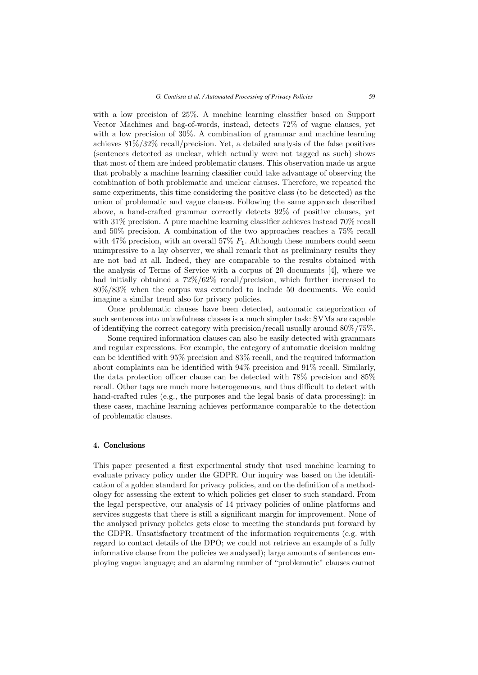with a low precision of 25%. A machine learning classifier based on Support Vector Machines and bag-of-words, instead, detects 72% of vague clauses, yet with a low precision of 30%. A combination of grammar and machine learning achieves 81%/32% recall/precision. Yet, a detailed analysis of the false positives (sentences detected as unclear, which actually were not tagged as such) shows that most of them are indeed problematic clauses. This observation made us argue that probably a machine learning classifier could take advantage of observing the combination of both problematic and unclear clauses. Therefore, we repeated the same experiments, this time considering the positive class (to be detected) as the union of problematic and vague clauses. Following the same approach described above, a hand-crafted grammar correctly detects 92% of positive clauses, yet with 31% precision. A pure machine learning classifier achieves instead 70% recall and 50% precision. A combination of the two approaches reaches a 75% recall with 47% precision, with an overall 57%  $F_1$ . Although these numbers could seem unimpressive to a lay observer, we shall remark that as preliminary results they are not bad at all. Indeed, they are comparable to the results obtained with the analysis of Terms of Service with a corpus of 20 documents [4], where we had initially obtained a 72%/62% recall/precision, which further increased to 80%/83% when the corpus was extended to include 50 documents. We could imagine a similar trend also for privacy policies.

Once problematic clauses have been detected, automatic categorization of such sentences into unlawfulness classes is a much simpler task: SVMs are capable of identifying the correct category with precision/recall usually around 80%/75%.

Some required information clauses can also be easily detected with grammars and regular expressions. For example, the category of automatic decision making can be identified with 95% precision and 83% recall, and the required information about complaints can be identified with 94% precision and 91% recall. Similarly, the data protection officer clause can be detected with 78% precision and 85% recall. Other tags are much more heterogeneous, and thus difficult to detect with hand-crafted rules (e.g., the purposes and the legal basis of data processing): in these cases, machine learning achieves performance comparable to the detection of problematic clauses.

#### **4. Conclusions**

This paper presented a first experimental study that used machine learning to evaluate privacy policy under the GDPR. Our inquiry was based on the identification of a golden standard for privacy policies, and on the definition of a methodology for assessing the extent to which policies get closer to such standard. From the legal perspective, our analysis of 14 privacy policies of online platforms and services suggests that there is still a significant margin for improvement. None of the analysed privacy policies gets close to meeting the standards put forward by the GDPR. Unsatisfactory treatment of the information requirements (e.g. with regard to contact details of the DPO; we could not retrieve an example of a fully informative clause from the policies we analysed); large amounts of sentences employing vague language; and an alarming number of "problematic" clauses cannot